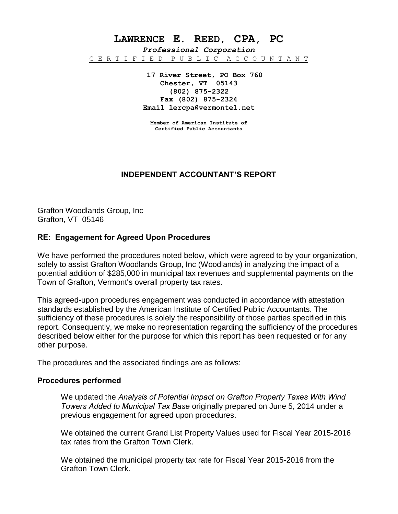**LAWRENCE E. REED, CPA, PC**

*Professional Corporation* C E R T I F I E D P U B L I C A C C O U N T A N T

> **17 River Street, PO Box 760 Chester, VT 05143 (802) 875-2322 Fax (802) 875-2324 Email lercpa@vermontel.net**

**Member of American Institute of Certified Public Accountants**

# **INDEPENDENT ACCOUNTANT'S REPORT**

Grafton Woodlands Group, Inc Grafton, VT 05146

## **RE: Engagement for Agreed Upon Procedures**

We have performed the procedures noted below, which were agreed to by your organization, solely to assist Grafton Woodlands Group, Inc (Woodlands) in analyzing the impact of a potential addition of \$285,000 in municipal tax revenues and supplemental payments on the Town of Grafton, Vermont's overall property tax rates.

This agreed-upon procedures engagement was conducted in accordance with attestation standards established by the American Institute of Certified Public Accountants. The sufficiency of these procedures is solely the responsibility of those parties specified in this report. Consequently, we make no representation regarding the sufficiency of the procedures described below either for the purpose for which this report has been requested or for any other purpose.

The procedures and the associated findings are as follows:

## **Procedures performed**

We updated the *Analysis of Potential Impact on Grafton Property Taxes With Wind Towers Added to Municipal Tax Base* originally prepared on June 5, 2014 under a previous engagement for agreed upon procedures.

We obtained the current Grand List Property Values used for Fiscal Year 2015-2016 tax rates from the Grafton Town Clerk.

We obtained the municipal property tax rate for Fiscal Year 2015-2016 from the Grafton Town Clerk.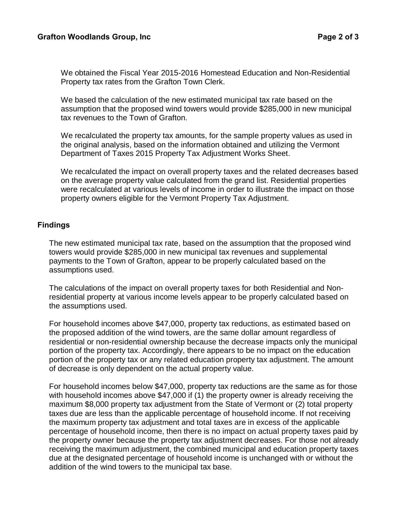We obtained the Fiscal Year 2015-2016 Homestead Education and Non-Residential Property tax rates from the Grafton Town Clerk.

We based the calculation of the new estimated municipal tax rate based on the assumption that the proposed wind towers would provide \$285,000 in new municipal tax revenues to the Town of Grafton.

We recalculated the property tax amounts, for the sample property values as used in the original analysis, based on the information obtained and utilizing the Vermont Department of Taxes 2015 Property Tax Adjustment Works Sheet.

We recalculated the impact on overall property taxes and the related decreases based on the average property value calculated from the grand list. Residential properties were recalculated at various levels of income in order to illustrate the impact on those property owners eligible for the Vermont Property Tax Adjustment.

## **Findings**

The new estimated municipal tax rate, based on the assumption that the proposed wind towers would provide \$285,000 in new municipal tax revenues and supplemental payments to the Town of Grafton, appear to be properly calculated based on the assumptions used.

The calculations of the impact on overall property taxes for both Residential and Nonresidential property at various income levels appear to be properly calculated based on the assumptions used.

For household incomes above \$47,000, property tax reductions, as estimated based on the proposed addition of the wind towers, are the same dollar amount regardless of residential or non-residential ownership because the decrease impacts only the municipal portion of the property tax. Accordingly, there appears to be no impact on the education portion of the property tax or any related education property tax adjustment. The amount of decrease is only dependent on the actual property value.

For household incomes below \$47,000, property tax reductions are the same as for those with household incomes above \$47,000 if (1) the property owner is already receiving the maximum \$8,000 property tax adjustment from the State of Vermont or (2) total property taxes due are less than the applicable percentage of household income. If not receiving the maximum property tax adjustment and total taxes are in excess of the applicable percentage of household income, then there is no impact on actual property taxes paid by the property owner because the property tax adjustment decreases. For those not already receiving the maximum adjustment, the combined municipal and education property taxes due at the designated percentage of household income is unchanged with or without the addition of the wind towers to the municipal tax base.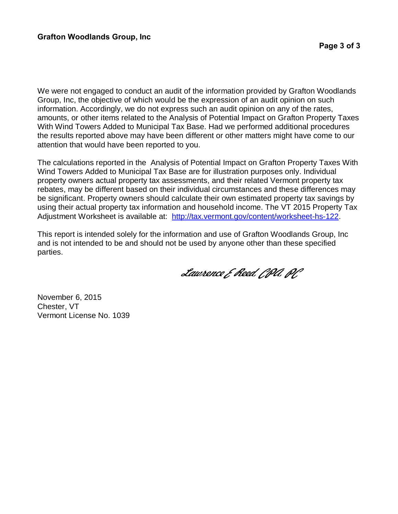We were not engaged to conduct an audit of the information provided by Grafton Woodlands Group, Inc, the objective of which would be the expression of an audit opinion on such information. Accordingly, we do not express such an audit opinion on any of the rates, amounts, or other items related to the Analysis of Potential Impact on Grafton Property Taxes With Wind Towers Added to Municipal Tax Base. Had we performed additional procedures the results reported above may have been different or other matters might have come to our attention that would have been reported to you.

The calculations reported in the Analysis of Potential Impact on Grafton Property Taxes With Wind Towers Added to Municipal Tax Base are for illustration purposes only. Individual property owners actual property tax assessments, and their related Vermont property tax rebates, may be different based on their individual circumstances and these differences may be significant. Property owners should calculate their own estimated property tax savings by using their actual property tax information and household income. The VT 2015 Property Tax Adjustment Worksheet is available at: http://tax.vermont.gov/content/worksheet-hs-122.

This report is intended solely for the information and use of Grafton Woodlands Group, Inc and is not intended to be and should not be used by anyone other than these specified parties.

 *Lawrence E Reed, CPA, PC*

November 6, 2015 Chester, VT Vermont License No. 1039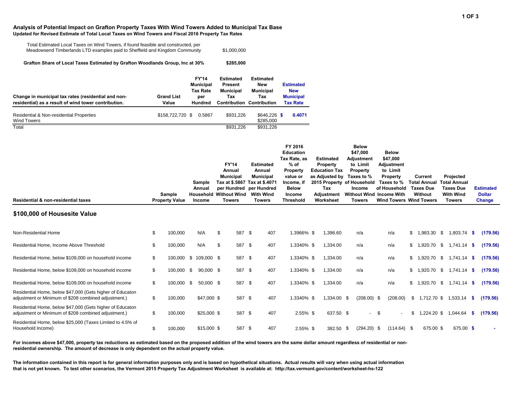### **Analysis of Potential Impact on Grafton Property Taxes With Wind Towers Added to Municipal Tax Base Updated for Revised Estimate of Total Local Taxes on Wind Towers and Fiscal 2016 Property Tax Rates**

| Total Estimated Local Taxes on Wind Towers, if found feasible and constructed, per |             |
|------------------------------------------------------------------------------------|-------------|
| Meadowsend Timberlands LTD examples paid to Sheffield and Kingdom Community        | \$1,000,000 |

**\$285,000 Grafton Share of Local Taxes Estimated by Grafton Woodlands Group, Inc at 30%**

| Change in municipal tax rates (residential and non-<br>residential) as a result of wind tower contribution. | <b>Grand List</b><br>Value | <b>FY'14</b><br><b>Municipal</b><br><b>Tax Rate</b><br>per<br><b>Hundred</b> | <b>Estimated</b><br><b>Present</b><br><b>Municipal</b><br>Tax<br><b>Contribution Contribution</b> | <b>Estimated</b><br><b>New</b><br><b>Municipal</b><br>Tax | <b>Estimated</b><br><b>New</b><br><b>Municipal</b><br><b>Tax Rate</b> |
|-------------------------------------------------------------------------------------------------------------|----------------------------|------------------------------------------------------------------------------|---------------------------------------------------------------------------------------------------|-----------------------------------------------------------|-----------------------------------------------------------------------|
| Residential & Non-residential Properties<br><b>Wind Towers</b>                                              | \$158,722,720 \$           | 0.5867                                                                       | \$931.226                                                                                         | $$646.226$ \$<br>\$285,000                                | 0.4071                                                                |
| $\overline{\text{Total}}$                                                                                   |                            |                                                                              | \$931.226                                                                                         | \$931.226                                                 |                                                                       |

| Residential & non-residential taxes                                                                               | Sample<br><b>Property Value</b> | Sample<br>Annual<br><b>Household Without Wind</b><br>Income | <b>FY'14</b><br>Annual<br><b>Municipal</b><br>per Hundred<br><b>Towers</b> | <b>Estimated</b><br>Annual<br><b>Municipal</b><br>Tax at \$.5867 Tax at \$.4071<br>per Hundred<br><b>With Wind</b><br><b>Towers</b> | FY 2016<br><b>Education</b><br>Tax Rate, as<br>% of<br>Property<br>value or<br>Income, if<br><b>Below</b><br>Income<br><b>Threshold</b> | <b>Estimated</b><br>Property<br><b>Education Tax</b><br>as Adjusted by<br>Tax<br>Adjustment<br>Worksheet |             | <b>Below</b><br>\$47,000<br>Adjustment<br>to Limit<br><b>Property</b><br>Taxes to %<br>2015 Property of Household<br><b>Income</b><br>Without Wind Income With<br><b>Towers</b> | <b>Below</b><br>\$47,000<br>Adjustment<br>to Limit<br>Property<br>Taxes to %<br>of Household<br><b>Wind Towers Wind Towers</b> |    | Current<br><b>Total Annual</b><br><b>Taxes Due</b><br>Without | Projected<br><b>Total Annual</b><br><b>Taxes Due</b><br><b>With Wind</b><br><b>Towers</b> |      | <b>Estimated</b><br><b>Dollar</b><br><b>Change</b> |
|-------------------------------------------------------------------------------------------------------------------|---------------------------------|-------------------------------------------------------------|----------------------------------------------------------------------------|-------------------------------------------------------------------------------------------------------------------------------------|-----------------------------------------------------------------------------------------------------------------------------------------|----------------------------------------------------------------------------------------------------------|-------------|---------------------------------------------------------------------------------------------------------------------------------------------------------------------------------|--------------------------------------------------------------------------------------------------------------------------------|----|---------------------------------------------------------------|-------------------------------------------------------------------------------------------|------|----------------------------------------------------|
| \$100,000 of Housesite Value                                                                                      |                                 |                                                             |                                                                            |                                                                                                                                     |                                                                                                                                         |                                                                                                          |             |                                                                                                                                                                                 |                                                                                                                                |    |                                                               |                                                                                           |      |                                                    |
| Non-Residential Home                                                                                              | \$<br>100,000                   | N/A                                                         | \$<br>587 \$                                                               | 407                                                                                                                                 | 1.3966% \$                                                                                                                              |                                                                                                          | 1,396.60    | n/a                                                                                                                                                                             | n/a                                                                                                                            | \$ | 1,983.30 \$                                                   | 1,803.74 \$                                                                               |      | (179.56)                                           |
| Residential Home, Income Above Threshold                                                                          | \$<br>100,000                   | N/A                                                         | \$<br>587 \$                                                               | 407                                                                                                                                 | 1.3340% \$                                                                                                                              |                                                                                                          | 1,334.00    | n/a                                                                                                                                                                             | n/a                                                                                                                            | \$ | 1.920.70 \$                                                   | $1,741.14$ \$                                                                             |      | (179.56)                                           |
| Residential Home, below \$109,000 on household income                                                             | \$                              | 100,000 \$ 109,000 \$                                       | 587 \$                                                                     | 407                                                                                                                                 | 1.3340% \$                                                                                                                              |                                                                                                          | 1,334.00    | n/a                                                                                                                                                                             | n/a                                                                                                                            | \$ | 1.920.70 \$                                                   | $1.741.14$ \$                                                                             |      | (179.56)                                           |
| Residential Home, below \$109,000 on household income                                                             | \$<br>100,000 \$                | 90,000 \$                                                   | 587 \$                                                                     | 407                                                                                                                                 | 1.3340% \$                                                                                                                              |                                                                                                          | 1.334.00    | n/a                                                                                                                                                                             | n/a                                                                                                                            | \$ | 1.920.70 \$                                                   | $1.741.14$ \$                                                                             |      | (179.56)                                           |
| Residential Home, below \$109,000 on household income                                                             | \$<br>100,000 \$                | 50,000 \$                                                   | 587 \$                                                                     | 407                                                                                                                                 | 1.3340% \$                                                                                                                              |                                                                                                          | 1,334.00    | n/a                                                                                                                                                                             | n/a                                                                                                                            | \$ | 1,920.70 \$                                                   | $1,741.14$ \$                                                                             |      | (179.56)                                           |
| Residential Home, below \$47,000 (Gets higher of Educaton<br>adjustment or Minimum of \$208 combined adjustment.) | \$<br>100,000                   | \$47,000 \$                                                 | 587 \$                                                                     | 407                                                                                                                                 | 1.3340% \$                                                                                                                              |                                                                                                          | 1,334.00 \$ | $(208.00)$ \$                                                                                                                                                                   | (208.00)                                                                                                                       | \$ | 1,712.70 \$                                                   | $1,533.14$ \$                                                                             |      | (179.56)                                           |
| Residential Home, below \$47,000 (Gets higher of Educaton<br>adjustment or Minimum of \$208 combined adjustment.) | \$<br>100,000                   | $$25,000$ \$                                                | 587 \$                                                                     | 407                                                                                                                                 | 2.55% \$                                                                                                                                |                                                                                                          | 637.50 \$   | $\sim$                                                                                                                                                                          | \$                                                                                                                             | S  | 1,224.20 \$                                                   | 1,044.64                                                                                  | - \$ | (179.56)                                           |
| Residential Home, below \$25,000 (Taxes Limited to 4.5% of<br>Household Income)                                   | \$<br>100,000                   | $$15,000$ \$                                                | 587 \$                                                                     | 407                                                                                                                                 | $2.55\%$ \$                                                                                                                             |                                                                                                          | 382.50 \$   | $(294.20)$ \$                                                                                                                                                                   | $(114.64)$ \$                                                                                                                  |    | 675.00 \$                                                     | 675.00 \$                                                                                 |      |                                                    |

For incomes above \$47,000, property tax reductions as estimated based on the proposed addition of the wind towers are the same dollar amount regardless of residential or non**residential ownership. The amount of decrease is only dependent on the actual property value.**

**The information contained in this report is for general information purposes only and is based on hypothetical situations. Actual results will vary when using actual information that is not yet known. To test other scenarios, the Vermont 2015 Property Tax Adjustment Worksheet is available at: http://tax.vermont.gov/content/worksheet-hs-122**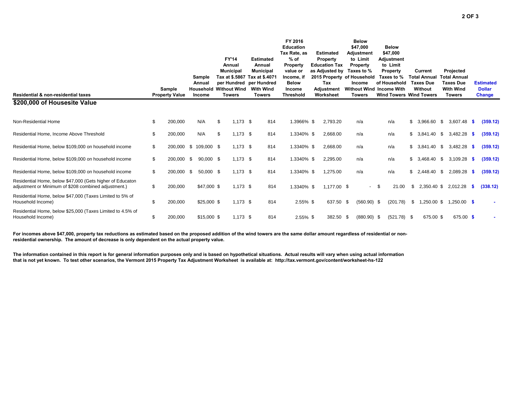| Residential & non-residential taxes                                                                               | Sample<br><b>Property Value</b> | Sample<br>Annual<br>Income | <b>FY'14</b><br>Annual<br><b>Municipal</b><br><b>Household Without Wind</b><br><b>Towers</b> | <b>Estimated</b><br>Annual<br><b>Municipal</b><br>Tax at \$.5867 Tax at \$.4071<br>per Hundred per Hundred<br><b>With Wind</b><br><b>Towers</b> | FY 2016<br><b>Education</b><br>Tax Rate, as<br>$%$ of<br><b>Property</b><br>value or<br>Income, if<br><b>Below</b><br>Income<br><b>Threshold</b> | <b>Estimated</b><br>Property<br><b>Education Tax</b><br>as Adjusted by<br>2015 Property of Household<br>Tax<br>Adjustment<br>Worksheet | <b>Below</b><br>\$47,000<br><b>Adjustment</b><br>to Limit<br>Property<br>Taxes to %<br><b>Income</b><br><b>Without Wind Income With</b><br><b>Towers</b> |                          | <b>Below</b><br>\$47,000<br>Adjustment<br>to Limit<br>Property<br>Taxes to %<br>of Household |               | Current<br><b>Total Annual</b><br><b>Taxes Due</b><br>Without<br><b>Wind Towers Wind Towers</b> |      | Projected<br><b>Total Annual</b><br><b>Taxes Due</b><br><b>With Wind</b><br><b>Towers</b> |     | <b>Estimated</b><br><b>Dollar</b><br><b>Change</b> |
|-------------------------------------------------------------------------------------------------------------------|---------------------------------|----------------------------|----------------------------------------------------------------------------------------------|-------------------------------------------------------------------------------------------------------------------------------------------------|--------------------------------------------------------------------------------------------------------------------------------------------------|----------------------------------------------------------------------------------------------------------------------------------------|----------------------------------------------------------------------------------------------------------------------------------------------------------|--------------------------|----------------------------------------------------------------------------------------------|---------------|-------------------------------------------------------------------------------------------------|------|-------------------------------------------------------------------------------------------|-----|----------------------------------------------------|
| \$200,000 of Housesite Value                                                                                      |                                 |                            |                                                                                              |                                                                                                                                                 |                                                                                                                                                  |                                                                                                                                        |                                                                                                                                                          |                          |                                                                                              |               |                                                                                                 |      |                                                                                           |     |                                                    |
| Non-Residential Home                                                                                              | \$<br>200,000                   | N/A                        | \$<br>$1,173$ \$                                                                             | 814                                                                                                                                             | 1.3966% \$                                                                                                                                       | 2,793.20                                                                                                                               | n/a                                                                                                                                                      |                          | n/a                                                                                          |               | \$<br>3,966.60                                                                                  | - \$ | 3.607.48                                                                                  | - S | (359.12)                                           |
| Residential Home, Income Above Threshold                                                                          | \$<br>200,000                   | N/A                        | \$<br>$1,173$ \$                                                                             | 814                                                                                                                                             | 1.3340% \$                                                                                                                                       | 2,668.00                                                                                                                               | n/a                                                                                                                                                      |                          | n/a                                                                                          |               | \$<br>3,841.40                                                                                  | \$   | 3,482.28                                                                                  | - S | (359.12)                                           |
| Residential Home, below \$109,000 on household income                                                             | \$                              | 200,000 \$ 109,000 \$      | $1,173$ \$                                                                                   | 814                                                                                                                                             | 1.3340% \$                                                                                                                                       | 2,668.00                                                                                                                               | n/a                                                                                                                                                      |                          | n/a                                                                                          |               | \$<br>3,841.40                                                                                  | - \$ | 3.482.28                                                                                  | -S  | (359.12)                                           |
| Residential Home, below \$109,000 on household income                                                             | \$<br>200.000                   | \$<br>90,000 \$            | $1,173$ \$                                                                                   | 814                                                                                                                                             | 1.3340% \$                                                                                                                                       | 2,295.00                                                                                                                               | n/a                                                                                                                                                      |                          | n/a                                                                                          |               | \$<br>3.468.40 \$                                                                               |      | 3,109.28                                                                                  | - S | (359.12)                                           |
| Residential Home, below \$109,000 on household income                                                             | \$<br>200.000                   | \$<br>$50,000$ \$          | $1,173$ \$                                                                                   | 814                                                                                                                                             | 1.3340% \$                                                                                                                                       | 1,275.00                                                                                                                               | n/a                                                                                                                                                      |                          | n/a                                                                                          |               | \$<br>2.448.40 \$                                                                               |      | 2,089.28                                                                                  | - S | (359.12)                                           |
| Residential Home, below \$47,000 (Gets higher of Educaton<br>adjustment or Minimum of \$208 combined adjustment.) | \$<br>200,000                   | \$47,000 \$                | $1,173$ \$                                                                                   | 814                                                                                                                                             | 1.3340% \$                                                                                                                                       | 1,177.00 \$                                                                                                                            |                                                                                                                                                          | $\overline{\phantom{0}}$ | -\$                                                                                          | 21.00         | \$<br>2,350.40 \$                                                                               |      | 2,012.28                                                                                  | -S  | (338.12)                                           |
| Residential Home, below \$47,000 (Taxes Limited to 5% of<br>Household Income)                                     | \$<br>200,000                   | $$25,000$ \$               | $1,173$ \$                                                                                   | 814                                                                                                                                             | $2.55\%$ \$                                                                                                                                      | 637.50                                                                                                                                 | $(560.90)$ \$<br>- \$                                                                                                                                    |                          |                                                                                              | (201.78)      | \$<br>1,250.00 \$                                                                               |      | $1,250.00$ \$                                                                             |     |                                                    |
| Residential Home, below \$25,000 (Taxes Limited to 4.5% of<br>Household Income)                                   | \$<br>200,000                   | $$15,000$ \$               | $1,173$ \$                                                                                   | 814                                                                                                                                             | $2.55\%$ \$                                                                                                                                      | 382.50 \$                                                                                                                              | $(880.90)$ \$                                                                                                                                            |                          |                                                                                              | $(521.78)$ \$ | 675.00 \$                                                                                       |      | 675.00 \$                                                                                 |     |                                                    |

For incomes above \$47,000, property tax reductions as estimated based on the proposed addition of the wind towers are the same dollar amount regardless of residential or non**residential ownership. The amount of decrease is only dependent on the actual property value.**

**The information contained in this report is for general information purposes only and is based on hypothetical situations. Actual results will vary when using actual information that is not yet known. To test other scenarios, the Vermont 2015 Property Tax Adjustment Worksheet is available at: http://tax.vermont.gov/content/worksheet-hs-122**